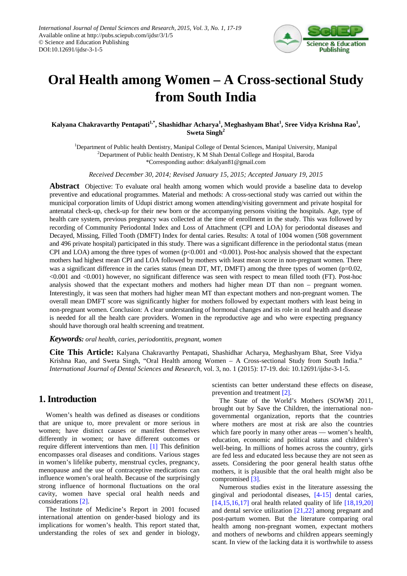

# **Oral Health among Women – A Cross-sectional Study from South India**

#### **Kalyana Chakravarthy Pentapati1,\* , Shashidhar Acharya<sup>1</sup> , Meghashyam Bhat<sup>1</sup> , Sree Vidya Krishna Rao<sup>1</sup> , Sweta Singh2**

<sup>1</sup>Department of Public health Dentistry, Manipal College of Dental Sciences, Manipal University, Manipal <sup>2</sup>Department of Public health Dentistry, K M Shah Dental College and Hospital, Baroda \*Corresponding author: drkalyan81@gmail.com

*Received December 30, 2014; Revised January 15, 2015; Accepted January 19, 2015*

**Abstract** Objective: To evaluate oral health among women which would provide a baseline data to develop preventive and educational programmes. Material and methods: A cross-sectional study was carried out within the municipal corporation limits of Udupi district among women attending/visiting government and private hospital for antenatal check-up, check-up for their new born or the accompanying persons visiting the hospitals. Age, type of health care system, previous pregnancy was collected at the time of enrollment in the study. This was followed by recording of Community Periodontal Index and Loss of Attachment (CPI and LOA) for periodontal diseases and Decayed, Missing, Filled Tooth (DMFT) Index for dental caries. Results: A total of 1004 women (508 government and 496 private hospital) participated in this study. There was a significant difference in the periodontal status (mean CPI and LOA) among the three types of women (p<0.001 and <0.001). Post-hoc analysis showed that the expectant mothers had highest mean CPI and LOA followed by mothers with least mean score in non-pregnant women. There was a significant difference in the caries status (mean DT, MT, DMFT) among the three types of women (p=0.02, <0.001 and <0.001) however, no significant difference was seen with respect to mean filled tooth (FT). Post-hoc analysis showed that the expectant mothers and mothers had higher mean DT than non – pregnant women. Interestingly, it was seen that mothers had higher mean MT than expectant mothers and non-pregnant women. The overall mean DMFT score was significantly higher for mothers followed by expectant mothers with least being in non-pregnant women. Conclusion: A clear understanding of hormonal changes and its role in oral health and disease is needed for all the health care providers. Women in the reproductive age and who were expecting pregnancy should have thorough oral health screening and treatment.

#### *Keywords: oral health, caries, periodontitis, pregnant, women*

**Cite This Article:** Kalyana Chakravarthy Pentapati, Shashidhar Acharya, Meghashyam Bhat, Sree Vidya Krishna Rao, and Sweta Singh, "Oral Health among Women – A Cross-sectional Study from South India." *International Journal of Dental Sciences and Research*, vol. 3, no. 1 (2015): 17-19. doi: 10.12691/ijdsr-3-1-5.

#### **1. Introduction**

Women's health was defined as diseases or conditions that are unique to, more prevalent or more serious in women; have distinct causes or manifest themselves differently in women; or have different outcomes or require different interventions than men. [\[1\]](#page-2-0) This definition encompasses oral diseases and conditions. Various stages in women's lifelike puberty, menstrual cycles, pregnancy, menopause and the use of contraceptive medications can influence women's oral health. Because of the surprisingly strong influence of hormonal fluctuations on the oral cavity, women have special oral health needs and considerations [\[2\].](#page-2-1)

The Institute of Medicine's Report in 2001 focused international attention on gender-based biology and its implications for women's health. This report stated that, understanding the roles of sex and gender in biology,

scientists can better understand these effects on disease, prevention and treatment [\[2\].](#page-2-1)

The State of the World's Mothers (SOWM) 2011, brought out by Save the Children, the international nongovernmental organization, reports that the countries where mothers are most at risk are also the countries which fare poorly in many other areas — women's health, education, economic and political status and children's well-being. In millions of homes across the country, girls are fed less and educated less because they are not seen as assets. Considering the poor general health status ofthe mothers, it is plausible that the oral health might also be compromised [\[3\].](#page-2-2)

Numerous studies exist in the literature assessing the gingival and periodontal diseases, [\[4-15\]](#page-2-3) dental caries,  $[14,15,16,17]$  oral health related quality of life  $[18,19,20]$ and dental service utilization [\[21,22\]](#page-2-6) among pregnant and post-partum women. But the literature comparing oral health among non-pregnant women, expectant mothers and mothers of newborns and children appears seemingly scant. In view of the lacking data it is worthwhile to assess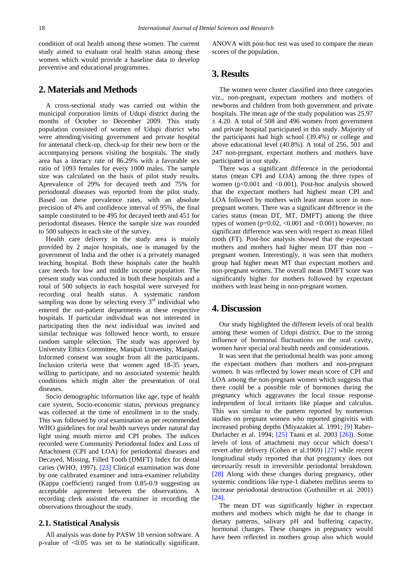condition of oral health among these women. The current study aimed to evaluate oral health status among these women which would provide a baseline data to develop preventive and educational programmes.

## **2. Materials and Methods**

A cross-sectional study was carried out within the municipal corporation limits of Udupi district during the months of October to December 2009. This study population consisted of women of Udupi district who were attending/visiting government and private hospital for antenatal check-up, check-up for their new born or the accompanying persons visiting the hospitals. The study area has a literacy rate of 86.29% with a favorable sex ratio of 1093 females for every 1000 males. The sample size was calculated on the basis of pilot study results. Aprevalence of 29% for decayed teeth and 75% for periodontal diseases was reported from the pilot study. Based on these prevalence rates, with an absolute precision of 4% and confidence interval of 95%, the final sample constituted to be 495 for decayed teeth and 451 for periodontal diseases. Hence the sample size was rounded to 500 subjects in each site of the survey.

Health care delivery in the study area is mainly provided by 2 major hospitals, one is managed by the government of India and the other is a privately managed teaching hospital. Both these hospitals cater the health care needs for low and middle income population. The present study was conducted in both these hospitals and a total of 500 subjects in each hospital were surveyed for recording oral health status. A systematic random sampling was done by selecting every  $3<sup>rd</sup>$  individual who entered the out-patient departments at these respective hospitals. If particular individual was not interested in participating then the next individual was invited and similar technique was followed hence worth, to ensure random sample selection. The study was approved by University Ethics Committee, Manipal University, Manipal. Informed consent was sought from all the participants. Inclusion criteria were that women aged 18-35 years, willing to participate, and no associated systemic health conditions which might alter the presentation of oral diseases.

Socio demographic information like age, type of health care system, Socio-economic status, previous pregnancy was collected at the time of enrollment in to the study. This was followed by oral examination as per recommended WHO guidelines for oral health surveys under natural day light using mouth mirror and CPI probes. The indices recorded were Community Periodontal Index and Loss of Attachment (CPI and LOA) for periodontal diseases and Decayed, Missing, Filled Tooth (DMFT) Index for dental caries (WHO, 1997). [\[23\]](#page-2-7) Clinical examination was done by one calibrated examiner and intra-examiner reliability (Kappa coefficient) ranged from 0.85-0.9 suggesting an acceptable agreement between the observations. A recording clerk assisted the examiner in recording the observations throughout the study.

#### **2.1. Statistical Analysis**

All analysis was done by PASW 18 version software. A p-value of <0.05 was set to be statistically significant.

ANOVA with post-hoc test was used to compare the mean scores of the population.

## **3. Results**

The women were cluster classified into three categories viz., non-pregnant, expectant mothers and mothers of newborns and children from both government and private hospitals. The mean age of the study population was 25.97  $\pm$  4.20. A total of 508 and 496 women from government and private hospital participated in this study. Majority of the participants had high school (39.4%) or college and above educational level (40.8%). A total of 256, 501 and 247 non-pregnant, expectant mothers and mothers have participated in our study.

There was a significant difference in the periodontal status (mean CPI and LOA) among the three types of women ( $p<0.001$  and  $\leq 0.001$ ). Post-hoc analysis showed that the expectant mothers had highest mean CPI and LOA followed by mothers with least mean score in nonpregnant women. There was a significant difference in the caries status (mean DT, MT, DMFT) among the three types of women ( $p=0.02$ , <0.001 and <0.001) however, no significant difference was seen with respect to mean filled tooth (FT). Post-hoc analysis showed that the expectant mothers and mothers had higher mean DT than non – pregnant women. Interestingly, it was seen that mothers group had higher mean MT than expectant mothers and non-pregnant women. The overall mean DMFT score was significantly higher for mothers followed by expectant mothers with least being in non-pregnant women.

#### **4. Discussion**

Our study highlighted the different levels of oral health among these women of Udupi district. Due to the strong influence of hormonal fluctuations on the oral cavity, women have special oral health needs and considerations.

It was seen that the periodontal health was poor among the expectant mothers than mothers and non-pregnant women. It was reflected by lower mean score of CPI and LOA among the non-pregnant women which suggests that there could be a possible role of hormones during the pregnancy which aggravates the local tissue response independent of local irritants like plaque and calculus. This was similar to the pattern reported by numerous studies on pregnant women who reported gingivitis with increased probing depths (Miyazakiet al. 1991; [\[9\]](#page-2-8) Raber-Durlacher et al. 1994; [\[25\]](#page-2-9) Taani et al. 2003 [\[26\]\)](#page-2-10). Some levels of loss of attachment may occur which doesn't revert after delivery (Cohen et al.1969) [\[27\]](#page-2-11) while recent longitudinal study reported that that pregnancy does not necessarily result in irreversible periodontal breakdown. [\[28\]](#page-2-12) Along with these changes during pregnancy, other systemic conditions like type-1 diabetes mellitus seems to increase periodontal destruction (Guthmiller et al. 2001) [\[24\].](#page-2-13)

The mean DT was significantly higher in expectant mothers and mothers which might be due to change in dietary patterns, salivary pH and buffering capacity, hormonal changes. These changes in pregnancy would have been reflected in mothers group also which would